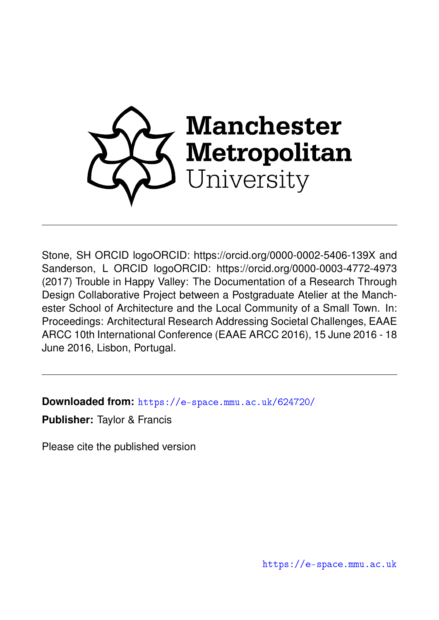

Stone, SH ORCID logoORCID: https://orcid.org/0000-0002-5406-139X and Sanderson, L ORCID logoORCID: https://orcid.org/0000-0003-4772-4973 (2017) Trouble in Happy Valley: The Documentation of a Research Through Design Collaborative Project between a Postgraduate Atelier at the Manchester School of Architecture and the Local Community of a Small Town. In: Proceedings: Architectural Research Addressing Societal Challenges, EAAE ARCC 10th International Conference (EAAE ARCC 2016), 15 June 2016 - 18 June 2016, Lisbon, Portugal.

**Downloaded from:** <https://e-space.mmu.ac.uk/624720/>

**Publisher:** Taylor & Francis

Please cite the published version

<https://e-space.mmu.ac.uk>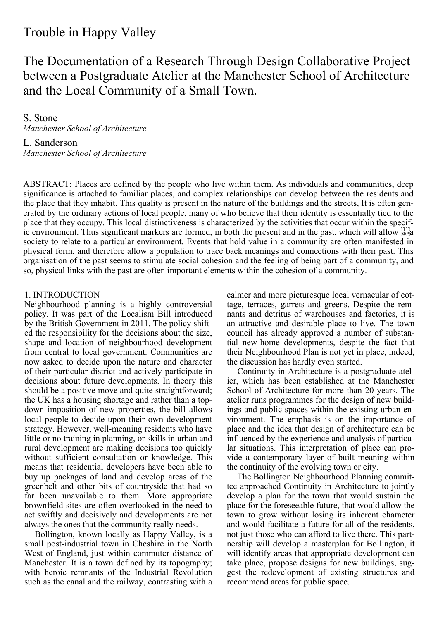# Trouble in Happy Valley

The Documentation of a Research Through Design Collaborative Project between a Postgraduate Atelier at the Manchester School of Architecture and the Local Community of a Small Town.

S. Stone *Manchester School of Architecture*

L. Sanderson *Manchester School of Architecture*

ABSTRACT: Places are defined by the people who live within them. As individuals and communities, deep significance is attached to familiar places, and complex relationships can develop between the residents and the place that they inhabit. This quality is present in the nature of the buildings and the streets, It is often generated by the ordinary actions of local people, many of who believe that their identity is essentially tied to the place that they occupy. This local distinctiveness is characterized by the activities that occur within the specific environment. Thus significant markers are formed, in both the present and in the past, which will allow  $\frac{1}{15}$ society to relate to a particular environment. Events that hold value in a community are often manifested in physical form, and therefore allow a population to trace back meanings and connections with their past. This organisation of the past seems to stimulate social cohesion and the feeling of being part of a community, and so, physical links with the past are often important elements within the cohesion of a community.

# 1. INTRODUCTION

Neighbourhood planning is a highly controversial policy. It was part of the Localism Bill introduced by the British Government in 2011. The policy shifted the responsibility for the decisions about the size, shape and location of neighbourhood development from central to local government. Communities are now asked to decide upon the nature and character of their particular district and actively participate in decisions about future developments. In theory this should be a positive move and quite straightforward; the UK has a housing shortage and rather than a topdown imposition of new properties, the bill allows local people to decide upon their own development strategy. However, well-meaning residents who have little or no training in planning, or skills in urban and rural development are making decisions too quickly without sufficient consultation or knowledge. This means that residential developers have been able to buy up packages of land and develop areas of the greenbelt and other bits of countryside that had so far been unavailable to them. More appropriate brownfield sites are often overlooked in the need to act swiftly and decisively and developments are not always the ones that the community really needs.

Bollington, known locally as Happy Valley, is a small post-industrial town in Cheshire in the North West of England, just within commuter distance of Manchester. It is a town defined by its topography; with heroic remnants of the Industrial Revolution such as the canal and the railway, contrasting with a

calmer and more picturesque local vernacular of cottage, terraces, garrets and greens. Despite the remnants and detritus of warehouses and factories, it is an attractive and desirable place to live. The town council has already approved a number of substantial new-home developments, despite the fact that their Neighbourhood Plan is not yet in place, indeed, the discussion has hardly even started.

Continuity in Architecture is a postgraduate atelier, which has been established at the Manchester School of Architecture for more than 20 years. The atelier runs programmes for the design of new buildings and public spaces within the existing urban environment. The emphasis is on the importance of place and the idea that design of architecture can be influenced by the experience and analysis of particular situations. This interpretation of place can provide a contemporary layer of built meaning within the continuity of the evolving town or city.

The Bollington Neighbourhood Planning committee approached Continuity in Architecture to jointly develop a plan for the town that would sustain the place for the foreseeable future, that would allow the town to grow without losing its inherent character and would facilitate a future for all of the residents, not just those who can afford to live there. This partnership will develop a masterplan for Bollington, it will identify areas that appropriate development can take place, propose designs for new buildings, suggest the redevelopment of existing structures and recommend areas for public space.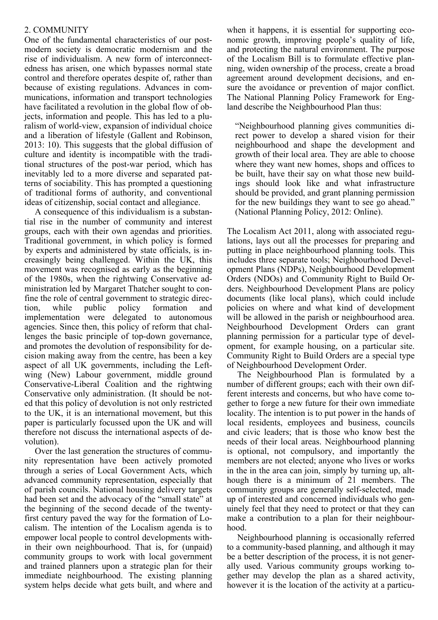# 2. COMMUNITY

One of the fundamental characteristics of our postmodern society is democratic modernism and the rise of individualism. A new form of interconnectedness has arisen, one which bypasses normal state control and therefore operates despite of, rather than because of existing regulations. Advances in communications, information and transport technologies have facilitated a revolution in the global flow of objects, information and people. This has led to a pluralism of world-view, expansion of individual choice and a liberation of lifestyle (Gallent and Robinson, 2013: 10). This suggests that the global diffusion of culture and identity is incompatible with the traditional structures of the post-war period, which has inevitably led to a more diverse and separated patterns of sociability. This has prompted a questioning of traditional forms of authority, and conventional ideas of citizenship, social contact and allegiance.

A consequence of this individualism is a substantial rise in the number of community and interest groups, each with their own agendas and priorities. Traditional government, in which policy is formed by experts and administered by state officials, is increasingly being challenged. Within the UK, this movement was recognised as early as the beginning of the 1980s, when the rightwing Conservative administration led by Margaret Thatcher sought to confine the role of central government to strategic direction, while public policy formation and implementation were delegated to autonomous agencies. Since then, this policy of reform that challenges the basic principle of top-down governance, and promotes the devolution of responsibility for decision making away from the centre, has been a key aspect of all UK governments, including the Leftwing (New) Labour government, middle ground Conservative-Liberal Coalition and the rightwing Conservative only administration. (It should be noted that this policy of devolution is not only restricted to the UK, it is an international movement, but this paper is particularly focussed upon the UK and will therefore not discuss the international aspects of devolution).

Over the last generation the structures of community representation have been actively promoted through a series of Local Government Acts, which advanced community representation, especially that of parish councils. National housing delivery targets had been set and the advocacy of the "small state" at the beginning of the second decade of the twentyfirst century paved the way for the formation of Localism. The intention of the Localism agenda is to empower local people to control developments within their own neighbourhood. That is, for (unpaid) community groups to work with local government and trained planners upon a strategic plan for their immediate neighbourhood. The existing planning system helps decide what gets built, and where and when it happens, it is essential for supporting economic growth, improving people's quality of life, and protecting the natural environment. The purpose of the Localism Bill is to formulate effective planning, widen ownership of the process, create a broad agreement around development decisions, and ensure the avoidance or prevention of major conflict. The National Planning Policy Framework for England describe the Neighbourhood Plan thus:

"Neighbourhood planning gives communities direct power to develop a shared vision for their neighbourhood and shape the development and growth of their local area. They are able to choose where they want new homes, shops and offices to be built, have their say on what those new buildings should look like and what infrastructure should be provided, and grant planning permission for the new buildings they want to see go ahead." (National Planning Policy, 2012: Online).

The Localism Act 2011, along with associated regulations, lays out all the processes for preparing and putting in place neighbourhood planning tools. This includes three separate tools; Neighbourhood Development Plans (NDPs), Neighbourhood Development Orders (NDOs) and Community Right to Build Orders. Neighbourhood Development Plans are policy documents (like local plans), which could include policies on where and what kind of development will be allowed in the parish or neighbourhood area. Neighbourhood Development Orders can grant planning permission for a particular type of development, for example housing, on a particular site. Community Right to Build Orders are a special type of Neighbourhood Development Order.

The Neighbourhood Plan is formulated by a number of different groups; each with their own different interests and concerns, but who have come together to forge a new future for their own immediate locality. The intention is to put power in the hands of local residents, employees and business, councils and civic leaders; that is those who know best the needs of their local areas. Neighbourhood planning is optional, not compulsory, and importantly the members are not elected; anyone who lives or works in the in the area can join, simply by turning up, although there is a minimum of 21 members. The community groups are generally self-selected, made up of interested and concerned individuals who genuinely feel that they need to protect or that they can make a contribution to a plan for their neighbourhood.

Neighbourhood planning is occasionally referred to a community-based planning, and although it may be a better description of the process, it is not generally used. Various community groups working together may develop the plan as a shared activity, however it is the location of the activity at a particu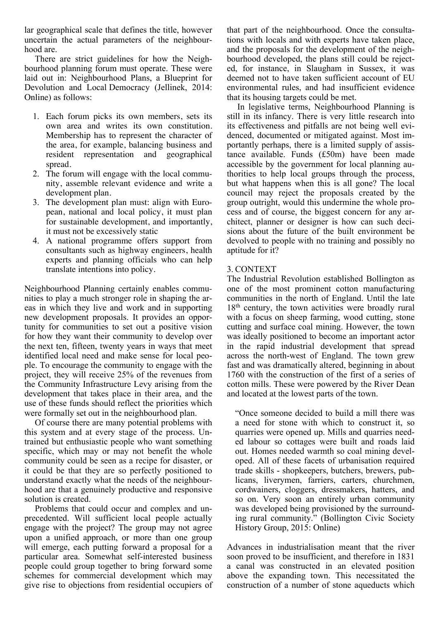lar geographical scale that defines the title, however uncertain the actual parameters of the neighbourhood are.

There are strict guidelines for how the Neighbourhood planning forum must operate. These were laid out in: Neighbourhood Plans, a Blueprint for Devolution and Local Democracy (Jellinek, 2014: Online) as follows:

- 1. Each forum picks its own members, sets its own area and writes its own constitution. Membership has to represent the character of the area, for example, balancing business and resident representation and geographical spread.
- 2. The forum will engage with the local community, assemble relevant evidence and write a development plan.
- 3. The development plan must: align with European, national and local policy, it must plan for sustainable development, and importantly, it must not be excessively static
- 4. A national programme offers support from consultants such as highway engineers, health experts and planning officials who can help translate intentions into policy.

Neighbourhood Planning certainly enables communities to play a much stronger role in shaping the areas in which they live and work and in supporting new development proposals. It provides an opportunity for communities to set out a positive vision for how they want their community to develop over the next ten, fifteen, twenty years in ways that meet identified local need and make sense for local people. To encourage the community to engage with the project, they will receive 25% of the revenues from the Community Infrastructure Levy arising from the development that takes place in their area, and the use of these funds should reflect the priorities which were formally set out in the neighbourhood plan.

Of course there are many potential problems with this system and at every stage of the process. Untrained but enthusiastic people who want something specific, which may or may not benefit the whole community could be seen as a recipe for disaster, or it could be that they are so perfectly positioned to understand exactly what the needs of the neighbourhood are that a genuinely productive and responsive solution is created.

Problems that could occur and complex and unprecedented. Will sufficient local people actually engage with the project? The group may not agree upon a unified approach, or more than one group will emerge, each putting forward a proposal for a particular area. Somewhat self-interested business people could group together to bring forward some schemes for commercial development which may give rise to objections from residential occupiers of that part of the neighbourhood. Once the consultations with locals and with experts have taken place, and the proposals for the development of the neighbourhood developed, the plans still could be rejected, for instance, in Slaugham in Sussex, it was deemed not to have taken sufficient account of EU environmental rules, and had insufficient evidence that its housing targets could be met.

In legislative terms, Neighbourhood Planning is still in its infancy. There is very little research into its effectiveness and pitfalls are not being well evidenced, documented or mitigated against. Most importantly perhaps, there is a limited supply of assistance available. Funds (£50m) have been made accessible by the government for local planning authorities to help local groups through the process, but what happens when this is all gone? The local council may reject the proposals created by the group outright, would this undermine the whole process and of course, the biggest concern for any architect, planner or designer is how can such decisions about the future of the built environment be devolved to people with no training and possibly no aptitude for it?

# 3. CONTEXT

The Industrial Revolution established Bollington as one of the most prominent cotton manufacturing communities in the north of England. Until the late 18<sup>th</sup> century, the town activities were broadly rural with a focus on sheep farming, wood cutting, stone cutting and surface coal mining. However, the town was ideally positioned to become an important actor in the rapid industrial development that spread across the north-west of England. The town grew fast and was dramatically altered, beginning in about 1760 with the construction of the first of a series of cotton mills. These were powered by the River Dean and located at the lowest parts of the town.

"Once someone decided to build a mill there was a need for stone with which to construct it, so quarries were opened up. Mills and quarries needed labour so cottages were built and roads laid out. Homes needed warmth so coal mining developed. All of these facets of urbanisation required trade skills - shopkeepers, butchers, brewers, publicans, liverymen, farriers, carters, churchmen, cordwainers, cloggers, dressmakers, hatters, and so on. Very soon an entirely urban community was developed being provisioned by the surrounding rural community." (Bollington Civic Society History Group, 2015: Online)

Advances in industrialisation meant that the river soon proved to be insufficient, and therefore in 1831 a canal was constructed in an elevated position above the expanding town. This necessitated the construction of a number of stone aqueducts which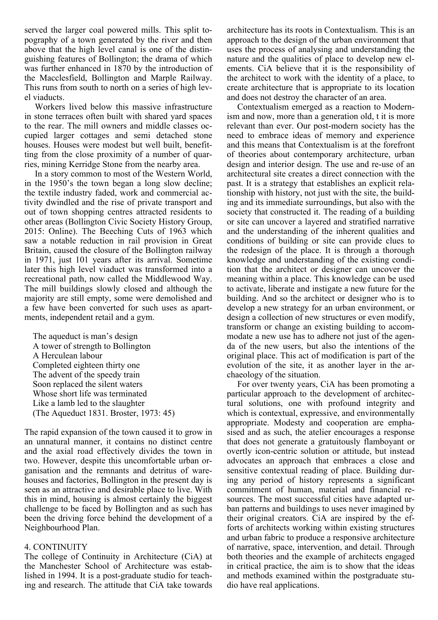served the larger coal powered mills. This split topography of a town generated by the river and then above that the high level canal is one of the distinguishing features of Bollington; the drama of which was further enhanced in 1870 by the introduction of the Macclesfield, Bollington and Marple Railway. This runs from south to north on a series of high level viaducts.

Workers lived below this massive infrastructure in stone terraces often built with shared yard spaces to the rear. The mill owners and middle classes occupied larger cottages and semi detached stone houses. Houses were modest but well built, benefitting from the close proximity of a number of quarries, mining Kerridge Stone from the nearby area.

In a story common to most of the Western World, in the 1950's the town began a long slow decline; the textile industry faded, work and commercial activity dwindled and the rise of private transport and out of town shopping centres attracted residents to other areas (Bollington Civic Society History Group, 2015: Online). The Beeching Cuts of 1963 which saw a notable reduction in rail provision in Great Britain, caused the closure of the Bollington railway in 1971, just 101 years after its arrival. Sometime later this high level viaduct was transformed into a recreational path, now called the Middlewood Way. The mill buildings slowly closed and although the majority are still empty, some were demolished and a few have been converted for such uses as apartments, independent retail and a gym.

The aqueduct is man's design A tower of strength to Bollington A Herculean labour Completed eighteen thirty one The advent of the speedy train Soon replaced the silent waters Whose short life was terminated Like a lamb led to the slaughter (The Aqueduct 1831. Broster, 1973: 45)

The rapid expansion of the town caused it to grow in an unnatural manner, it contains no distinct centre and the axial road effectively divides the town in two. However, despite this uncomfortable urban organisation and the remnants and detritus of warehouses and factories, Bollington in the present day is seen as an attractive and desirable place to live. With this in mind, housing is almost certainly the biggest challenge to be faced by Bollington and as such has been the driving force behind the development of a Neighbourhood Plan.

### 4. CONTINUITY

The college of Continuity in Architecture (CiA) at the Manchester School of Architecture was established in 1994. It is a post-graduate studio for teaching and research. The attitude that CiA take towards architecture has its roots in Contextualism. This is an approach to the design of the urban environment that uses the process of analysing and understanding the nature and the qualities of place to develop new elements. CiA believe that it is the responsibility of the architect to work with the identity of a place, to create architecture that is appropriate to its location and does not destroy the character of an area.

Contextualism emerged as a reaction to Modernism and now, more than a generation old, t it is more relevant than ever. Our post-modern society has the need to embrace ideas of memory and experience and this means that Contextualism is at the forefront of theories about contemporary architecture, urban design and interior design. The use and re-use of an architectural site creates a direct connection with the past. It is a strategy that establishes an explicit relationship with history, not just with the site, the building and its immediate surroundings, but also with the society that constructed it. The reading of a building or site can uncover a layered and stratified narrative and the understanding of the inherent qualities and conditions of building or site can provide clues to the redesign of the place. It is through a thorough knowledge and understanding of the existing condition that the architect or designer can uncover the meaning within a place. This knowledge can be used to activate, liberate and instigate a new future for the building. And so the architect or designer who is to develop a new strategy for an urban environment, or design a collection of new structures or even modify, transform or change an existing building to accommodate a new use has to adhere not just of the agenda of the new users, but also the intentions of the original place. This act of modification is part of the evolution of the site, it as another layer in the archaeology of the situation.

For over twenty years, CiA has been promoting a particular approach to the development of architectural solutions, one with profound integrity and which is contextual, expressive, and environmentally appropriate. Modesty and cooperation are emphasised and as such, the atelier encourages a response that does not generate a gratuitously flamboyant or overtly icon-centric solution or attitude, but instead advocates an approach that embraces a close and sensitive contextual reading of place. Building during any period of history represents a significant commitment of human, material and financial resources. The most successful cities have adapted urban patterns and buildings to uses never imagined by their original creators. CiA are inspired by the efforts of architects working within existing structures and urban fabric to produce a responsive architecture of narrative, space, intervention, and detail. Through both theories and the example of architects engaged in critical practice, the aim is to show that the ideas and methods examined within the postgraduate studio have real applications.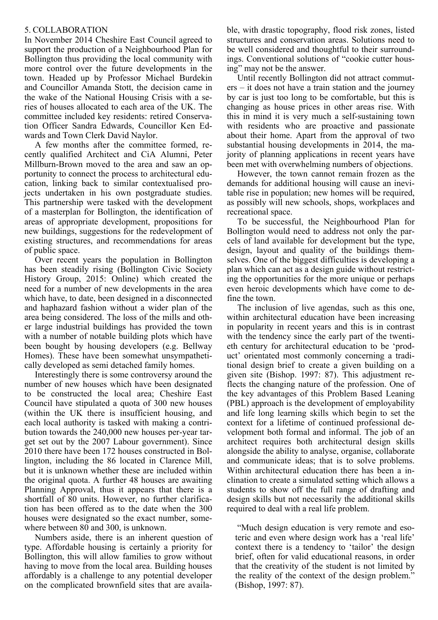# 5. COLLABORATION

In November 2014 Cheshire East Council agreed to support the production of a Neighbourhood Plan for Bollington thus providing the local community with more control over the future developments in the town. Headed up by Professor Michael Burdekin and Councillor Amanda Stott, the decision came in the wake of the National Housing Crisis with a series of houses allocated to each area of the UK. The committee included key residents: retired Conservation Officer Sandra Edwards, Councillor Ken Edwards and Town Clerk David Naylor.

A few months after the committee formed, recently qualified Architect and CiA Alumni, Peter Millburn-Brown moved to the area and saw an opportunity to connect the process to architectural education, linking back to similar contextualised projects undertaken in his own postgraduate studies. This partnership were tasked with the development of a masterplan for Bollington, the identification of areas of appropriate development, propositions for new buildings, suggestions for the redevelopment of existing structures, and recommendations for areas of public space.

Over recent years the population in Bollington has been steadily rising (Bollington Civic Society History Group, 2015: Online) which created the need for a number of new developments in the area which have, to date, been designed in a disconnected and haphazard fashion without a wider plan of the area being considered. The loss of the mills and other large industrial buildings has provided the town with a number of notable building plots which have been bought by housing developers (e.g. Bellway Homes). These have been somewhat unsympathetically developed as semi detached family homes.

Interestingly there is some controversy around the number of new houses which have been designated to be constructed the local area; Cheshire East Council have stipulated a quota of 300 new houses (within the UK there is insufficient housing, and each local authority is tasked with making a contribution towards the 240,000 new houses per-year target set out by the 2007 Labour government). Since 2010 there have been 172 houses constructed in Bollington, including the 86 located in Clarence Mill, but it is unknown whether these are included within the original quota. A further 48 houses are awaiting Planning Approval, thus it appears that there is a shortfall of 80 units. However, no further clarification has been offered as to the date when the 300 houses were designated so the exact number, somewhere between 80 and 300, is unknown.

Numbers aside, there is an inherent question of type. Affordable housing is certainly a priority for Bollington, this will allow families to grow without having to move from the local area. Building houses affordably is a challenge to any potential developer on the complicated brownfield sites that are available, with drastic topography, flood risk zones, listed structures and conservation areas. Solutions need to be well considered and thoughtful to their surroundings. Conventional solutions of "cookie cutter housing" may not be the answer.

Until recently Bollington did not attract commuters – it does not have a train station and the journey by car is just too long to be comfortable, but this is changing as house prices in other areas rise. With this in mind it is very much a self-sustaining town with residents who are proactive and passionate about their home. Apart from the approval of two substantial housing developments in 2014, the majority of planning applications in recent years have been met with overwhelming numbers of objections.

However, the town cannot remain frozen as the demands for additional housing will cause an inevitable rise in population; new homes will be required, as possibly will new schools, shops, workplaces and recreational space.

To be successful, the Neighbourhood Plan for Bollington would need to address not only the parcels of land available for development but the type, design, layout and quality of the buildings themselves. One of the biggest difficulties is developing a plan which can act as a design guide without restricting the opportunities for the more unique or perhaps even heroic developments which have come to define the town.

The inclusion of live agendas, such as this one, within architectural education have been increasing in popularity in recent years and this is in contrast with the tendency since the early part of the twentieth century for architectural education to be 'product' orientated most commonly concerning a traditional design brief to create a given building on a given site (Bishop. 1997: 87). This adjustment reflects the changing nature of the profession. One of the key advantages of this Problem Based Leaning (PBL) approach is the development of employability and life long learning skills which begin to set the context for a lifetime of continued professional development both formal and informal. The job of an architect requires both architectural design skills alongside the ability to analyse, organise, collaborate and communicate ideas; that is to solve problems. Within architectural education there has been a inclination to create a simulated setting which allows a students to show off the full range of drafting and design skills but not necessarily the additional skills required to deal with a real life problem.

"Much design education is very remote and esoteric and even where design work has a 'real life' context there is a tendency to 'tailor' the design brief, often for valid educational reasons, in order that the creativity of the student is not limited by the reality of the context of the design problem." (Bishop, 1997: 87).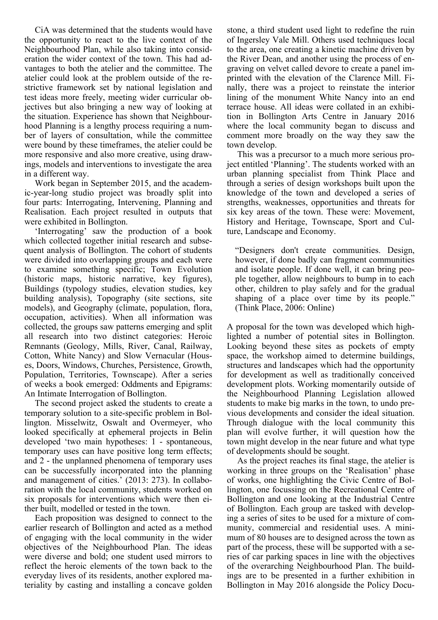CiA was determined that the students would have the opportunity to react to the live context of the Neighbourhood Plan, while also taking into consideration the wider context of the town. This had advantages to both the atelier and the committee. The atelier could look at the problem outside of the restrictive framework set by national legislation and test ideas more freely, meeting wider curricular objectives but also bringing a new way of looking at the situation. Experience has shown that Neighbourhood Planning is a lengthy process requiring a number of layers of consultation, while the committee were bound by these timeframes, the atelier could be more responsive and also more creative, using drawings, models and interventions to investigate the area in a different way.

Work began in September 2015, and the academic-year-long studio project was broadly split into four parts: Interrogating, Intervening, Planning and Realisation. Each project resulted in outputs that were exhibited in Bollington.

'Interrogating' saw the production of a book which collected together initial research and subsequent analysis of Bollington. The cohort of students were divided into overlapping groups and each were to examine something specific; Town Evolution (historic maps, historic narrative, key figures), Buildings (typology studies, elevation studies, key building analysis), Topography (site sections, site models), and Geography (climate, population, flora, occupation, activities). When all information was collected, the groups saw patterns emerging and split all research into two distinct categories: Heroic Remnants (Geology, Mills, River, Canal, Railway, Cotton, White Nancy) and Slow Vernacular (Houses, Doors, Windows, Churches, Persistence, Growth, Population, Territories, Townscape). After a series of weeks a book emerged: Oddments and Epigrams: An Intimate Interrogation of Bollington.

The second project asked the students to create a temporary solution to a site-specific problem in Bollington. Misselwitz, Oswalt and Overmeyer, who looked specifically at ephemeral projects in Belin developed 'two main hypotheses: 1 - spontaneous, temporary uses can have positive long term effects; and 2 - the unplanned phenomena of temporary uses can be successfully incorporated into the planning and management of cities.' (2013: 273). In collaboration with the local community, students worked on six proposals for interventions which were then either built, modelled or tested in the town.

Each proposition was designed to connect to the earlier research of Bollington and acted as a method of engaging with the local community in the wider objectives of the Neighbourhood Plan. The ideas were diverse and bold; one student used mirrors to reflect the heroic elements of the town back to the everyday lives of its residents, another explored materiality by casting and installing a concave golden

stone, a third student used light to redefine the ruin of Ingersley Vale Mill. Others used techniques local to the area, one creating a kinetic machine driven by the River Dean, and another using the process of engraving on velvet called devore to create a panel imprinted with the elevation of the Clarence Mill. Finally, there was a project to reinstate the interior lining of the monument White Nancy into an end terrace house. All ideas were collated in an exhibition in Bollington Arts Centre in January 2016 where the local community began to discuss and comment more broadly on the way they saw the town develop.

This was a precursor to a much more serious project entitled 'Planning'. The students worked with an urban planning specialist from Think Place and through a series of design workshops built upon the knowledge of the town and developed a series of strengths, weaknesses, opportunities and threats for six key areas of the town. These were: Movement, History and Heritage, Townscape, Sport and Culture, Landscape and Economy.

"Designers don't create communities. Design, however, if done badly can fragment communities and isolate people. If done well, it can bring people together, allow neighbours to bump in to each other, children to play safely and for the gradual shaping of a place over time by its people." (Think Place, 2006: Online)

A proposal for the town was developed which highlighted a number of potential sites in Bollington. Looking beyond these sites as pockets of empty space, the workshop aimed to determine buildings, structures and landscapes which had the opportunity for development as well as traditionally conceived development plots. Working momentarily outside of the Neighbourhood Planning Legislation allowed students to make big marks in the town, to undo previous developments and consider the ideal situation. Through dialogue with the local community this plan will evolve further, it will question how the town might develop in the near future and what type of developments should be sought.

As the project reaches its final stage, the atelier is working in three groups on the 'Realisation' phase of works, one highlighting the Civic Centre of Bollington, one focussing on the Recreational Centre of Bollington and one looking at the Industrial Centre of Bollington. Each group are tasked with developing a series of sites to be used for a mixture of community, commercial and residential uses. A minimum of 80 houses are to designed across the town as part of the process, these will be supported with a series of car parking spaces in line with the objectives of the overarching Neighbourhood Plan. The buildings are to be presented in a further exhibition in Bollington in May 2016 alongside the Policy Docu